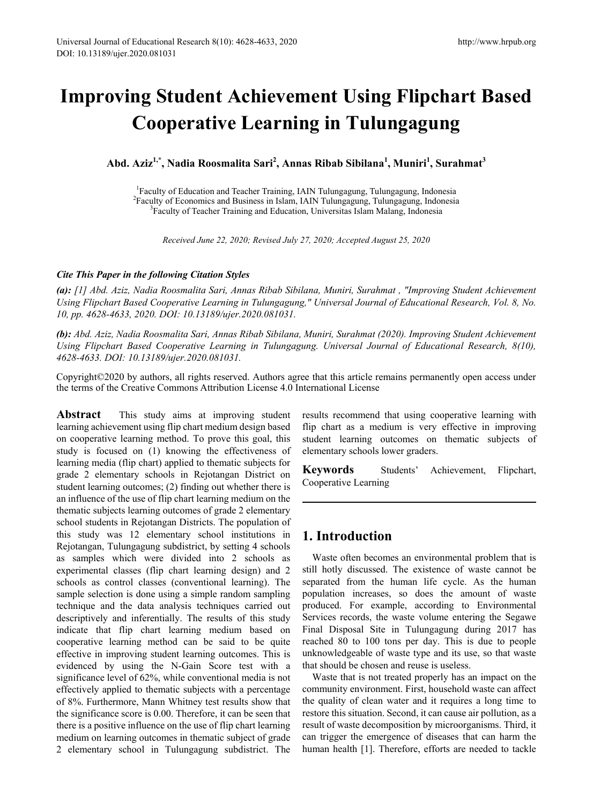# **Improving Student Achievement Using Flipchart Based Cooperative Learning in Tulungagung**

**Abd. Aziz1,\*, Nadia Roosmalita Sari2 , Annas Ribab Sibilana1 , Muniri<sup>1</sup> , Surahmat<sup>3</sup>**

<sup>1</sup> Faculty of Education and Teacher Training, IAIN Tulungagung, Tulungagung, Indonesia<br><sup>2</sup> Faculty of Economics and Business in Islam, IAIN Tulungagung, Tulungagung, Indonesia <sup>2</sup>Faculty of Economics and Business in Islam, IAIN Tulungagung, Tulungagung, Indonesia <sup>3</sup>Faculty of Teacher Training and Education, Universitas Islam Malang, Indonesia

*Received June 22, 2020; Revised July 27, 2020; Accepted August 25, 2020*

#### *Cite This Paper in the following Citation Styles*

*(a): [1] Abd. Aziz, Nadia Roosmalita Sari, Annas Ribab Sibilana, Muniri, Surahmat , "Improving Student Achievement Using Flipchart Based Cooperative Learning in Tulungagung," Universal Journal of Educational Research, Vol. 8, No. 10, pp. 4628-4633, 2020. DOI: 10.13189/ujer.2020.081031.* 

*(b): Abd. Aziz, Nadia Roosmalita Sari, Annas Ribab Sibilana, Muniri, Surahmat (2020). Improving Student Achievement Using Flipchart Based Cooperative Learning in Tulungagung. Universal Journal of Educational Research, 8(10), 4628-4633. DOI: 10.13189/ujer.2020.081031.* 

Copyright©2020 by authors, all rights reserved. Authors agree that this article remains permanently open access under the terms of the Creative Commons Attribution License 4.0 International License

**Abstract** This study aims at improving student learning achievement using flip chart medium design based on cooperative learning method. To prove this goal, this study is focused on (1) knowing the effectiveness of learning media (flip chart) applied to thematic subjects for grade 2 elementary schools in Rejotangan District on student learning outcomes; (2) finding out whether there is an influence of the use of flip chart learning medium on the thematic subjects learning outcomes of grade 2 elementary school students in Rejotangan Districts. The population of this study was 12 elementary school institutions in Rejotangan, Tulungagung subdistrict, by setting 4 schools as samples which were divided into 2 schools as experimental classes (flip chart learning design) and 2 schools as control classes (conventional learning). The sample selection is done using a simple random sampling technique and the data analysis techniques carried out descriptively and inferentially. The results of this study indicate that flip chart learning medium based on cooperative learning method can be said to be quite effective in improving student learning outcomes. This is evidenced by using the N-Gain Score test with a significance level of 62%, while conventional media is not effectively applied to thematic subjects with a percentage of 8%. Furthermore, Mann Whitney test results show that the significance score is 0.00. Therefore, it can be seen that there is a positive influence on the use of flip chart learning medium on learning outcomes in thematic subject of grade 2 elementary school in Tulungagung subdistrict. The results recommend that using cooperative learning with flip chart as a medium is very effective in improving student learning outcomes on thematic subjects of elementary schools lower graders.

**Keywords** Students' Achievement, Flipchart, Cooperative Learning

## **1. Introduction**

Waste often becomes an environmental problem that is still hotly discussed. The existence of waste cannot be separated from the human life cycle. As the human population increases, so does the amount of waste produced. For example, according to Environmental Services records, the waste volume entering the Segawe Final Disposal Site in Tulungagung during 2017 has reached 80 to 100 tons per day. This is due to people unknowledgeable of waste type and its use, so that waste that should be chosen and reuse is useless.

Waste that is not treated properly has an impact on the community environment. First, household waste can affect the quality of clean water and it requires a long time to restore this situation. Second, it can cause air pollution, as a result of waste decomposition by microorganisms. Third, it can trigger the emergence of diseases that can harm the human health [1]. Therefore, efforts are needed to tackle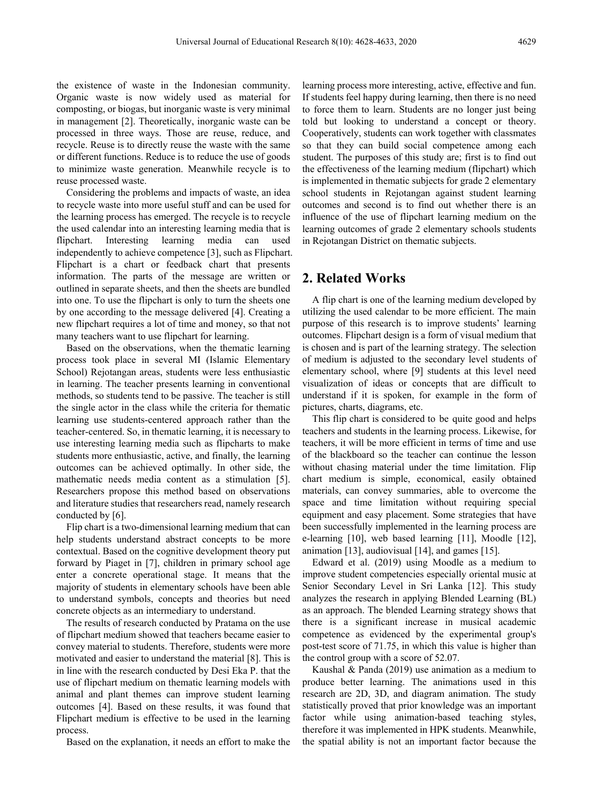the existence of waste in the Indonesian community. Organic waste is now widely used as material for composting, or biogas, but inorganic waste is very minimal in management [2]. Theoretically, inorganic waste can be processed in three ways. Those are reuse, reduce, and recycle. Reuse is to directly reuse the waste with the same or different functions. Reduce is to reduce the use of goods to minimize waste generation. Meanwhile recycle is to reuse processed waste.

Considering the problems and impacts of waste, an idea to recycle waste into more useful stuff and can be used for the learning process has emerged. The recycle is to recycle the used calendar into an interesting learning media that is flipchart. Interesting learning media can used independently to achieve competence [3], such as Flipchart. Flipchart is a chart or feedback chart that presents information. The parts of the message are written or outlined in separate sheets, and then the sheets are bundled into one. To use the flipchart is only to turn the sheets one by one according to the message delivered [4]. Creating a new flipchart requires a lot of time and money, so that not many teachers want to use flipchart for learning.

Based on the observations, when the thematic learning process took place in several MI (Islamic Elementary School) Rejotangan areas, students were less enthusiastic in learning. The teacher presents learning in conventional methods, so students tend to be passive. The teacher is still the single actor in the class while the criteria for thematic learning use students-centered approach rather than the teacher-centered. So, in thematic learning, it is necessary to use interesting learning media such as flipcharts to make students more enthusiastic, active, and finally, the learning outcomes can be achieved optimally. In other side, the mathematic needs media content as a stimulation [5]. Researchers propose this method based on observations and literature studies that researchers read, namely research conducted by [6].

Flip chart is a two-dimensional learning medium that can help students understand abstract concepts to be more contextual. Based on the cognitive development theory put forward by Piaget in [7], children in primary school age enter a concrete operational stage. It means that the majority of students in elementary schools have been able to understand symbols, concepts and theories but need concrete objects as an intermediary to understand.

The results of research conducted by Pratama on the use of flipchart medium showed that teachers became easier to convey material to students. Therefore, students were more motivated and easier to understand the material [8]. This is in line with the research conducted by Desi Eka P. that the use of flipchart medium on thematic learning models with animal and plant themes can improve student learning outcomes [4]. Based on these results, it was found that Flipchart medium is effective to be used in the learning process.

Based on the explanation, it needs an effort to make the

learning process more interesting, active, effective and fun. If students feel happy during learning, then there is no need to force them to learn. Students are no longer just being told but looking to understand a concept or theory. Cooperatively, students can work together with classmates so that they can build social competence among each student. The purposes of this study are; first is to find out the effectiveness of the learning medium (flipchart) which is implemented in thematic subjects for grade 2 elementary school students in Rejotangan against student learning outcomes and second is to find out whether there is an influence of the use of flipchart learning medium on the learning outcomes of grade 2 elementary schools students in Rejotangan District on thematic subjects.

### **2. Related Works**

A flip chart is one of the learning medium developed by utilizing the used calendar to be more efficient. The main purpose of this research is to improve students' learning outcomes. Flipchart design is a form of visual medium that is chosen and is part of the learning strategy. The selection of medium is adjusted to the secondary level students of elementary school, where [9] students at this level need visualization of ideas or concepts that are difficult to understand if it is spoken, for example in the form of pictures, charts, diagrams, etc.

This flip chart is considered to be quite good and helps teachers and students in the learning process. Likewise, for teachers, it will be more efficient in terms of time and use of the blackboard so the teacher can continue the lesson without chasing material under the time limitation. Flip chart medium is simple, economical, easily obtained materials, can convey summaries, able to overcome the space and time limitation without requiring special equipment and easy placement. Some strategies that have been successfully implemented in the learning process are e-learning [10], web based learning [11], Moodle [12], animation [13], audiovisual [14], and games [15].

Edward et al. (2019) using Moodle as a medium to improve student competencies especially oriental music at Senior Secondary Level in Sri Lanka [12]. This study analyzes the research in applying Blended Learning (BL) as an approach. The blended Learning strategy shows that there is a significant increase in musical academic competence as evidenced by the experimental group's post-test score of 71.75, in which this value is higher than the control group with a score of 52.07.

Kaushal & Panda (2019) use animation as a medium to produce better learning. The animations used in this research are 2D, 3D, and diagram animation. The study statistically proved that prior knowledge was an important factor while using animation-based teaching styles, therefore it was implemented in HPK students. Meanwhile, the spatial ability is not an important factor because the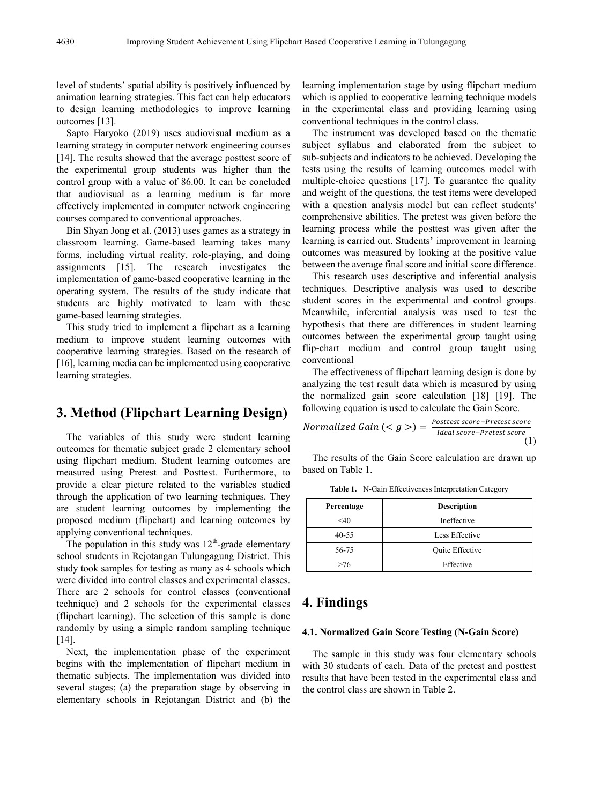level of students' spatial ability is positively influenced by animation learning strategies. This fact can help educators to design learning methodologies to improve learning outcomes [13].

Sapto Haryoko (2019) uses audiovisual medium as a learning strategy in computer network engineering courses [14]. The results showed that the average posttest score of the experimental group students was higher than the control group with a value of 86.00. It can be concluded that audiovisual as a learning medium is far more effectively implemented in computer network engineering courses compared to conventional approaches.

Bin Shyan Jong et al. (2013) uses games as a strategy in classroom learning. Game-based learning takes many forms, including virtual reality, role-playing, and doing assignments [15]. The research investigates the implementation of game-based cooperative learning in the operating system. The results of the study indicate that students are highly motivated to learn with these game-based learning strategies.

This study tried to implement a flipchart as a learning medium to improve student learning outcomes with cooperative learning strategies. Based on the research of [16], learning media can be implemented using cooperative learning strategies.

## **3. Method (Flipchart Learning Design)**

The variables of this study were student learning outcomes for thematic subject grade 2 elementary school using flipchart medium. Student learning outcomes are measured using Pretest and Posttest. Furthermore, to provide a clear picture related to the variables studied through the application of two learning techniques. They are student learning outcomes by implementing the proposed medium (flipchart) and learning outcomes by applying conventional techniques.

The population in this study was  $12<sup>th</sup>$ -grade elementary school students in Rejotangan Tulungagung District. This study took samples for testing as many as 4 schools which were divided into control classes and experimental classes. There are 2 schools for control classes (conventional technique) and 2 schools for the experimental classes (flipchart learning). The selection of this sample is done randomly by using a simple random sampling technique  $[14]$ .

Next, the implementation phase of the experiment begins with the implementation of flipchart medium in thematic subjects. The implementation was divided into several stages; (a) the preparation stage by observing in elementary schools in Rejotangan District and (b) the

learning implementation stage by using flipchart medium which is applied to cooperative learning technique models in the experimental class and providing learning using conventional techniques in the control class.

The instrument was developed based on the thematic subject syllabus and elaborated from the subject to sub-subjects and indicators to be achieved. Developing the tests using the results of learning outcomes model with multiple-choice questions [17]. To guarantee the quality and weight of the questions, the test items were developed with a question analysis model but can reflect students' comprehensive abilities. The pretest was given before the learning process while the posttest was given after the learning is carried out. Students' improvement in learning outcomes was measured by looking at the positive value between the average final score and initial score difference.

This research uses descriptive and inferential analysis techniques. Descriptive analysis was used to describe student scores in the experimental and control groups. Meanwhile, inferential analysis was used to test the hypothesis that there are differences in student learning outcomes between the experimental group taught using flip-chart medium and control group taught using conventional

The effectiveness of flipchart learning design is done by analyzing the test result data which is measured by using the normalized gain score calculation [18] [19]. The following equation is used to calculate the Gain Score.

$$
Normalized Gain \left( < g > \right) = \frac{Posttest score - Pretest score}{Ideal score - Pretest score} \tag{1}
$$

The results of the Gain Score calculation are drawn up based on Table 1.

| Percentage | <b>Description</b> |  |
|------------|--------------------|--|
| $<$ 40     | Ineffective        |  |
| $40 - 55$  | Less Effective     |  |
| 56-75      | Quite Effective    |  |
| >76        | Effective          |  |

**Table 1.** N-Gain Effectiveness Interpretation Category

# **4. Findings**

#### **4.1. Normalized Gain Score Testing (N-Gain Score)**

The sample in this study was four elementary schools with 30 students of each. Data of the pretest and posttest results that have been tested in the experimental class and the control class are shown in Table 2.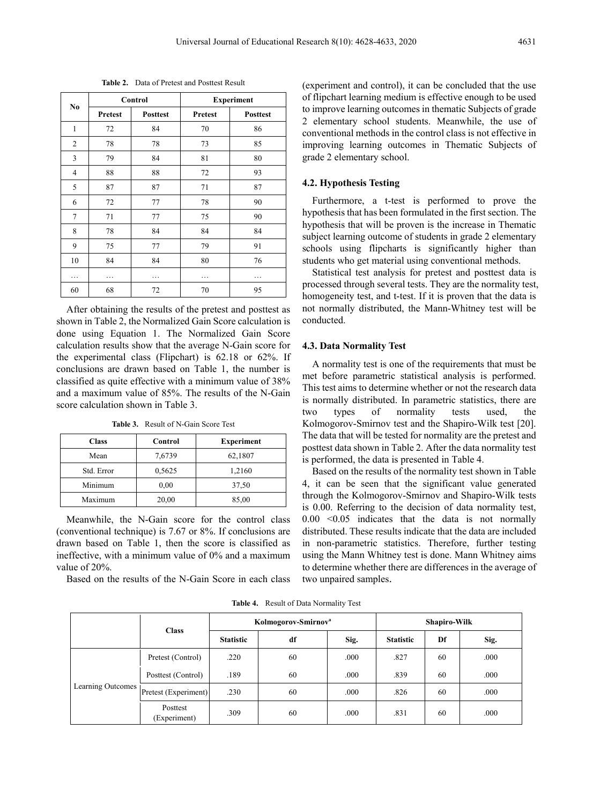|                | Control |                 | <b>Experiment</b> |                 |  |
|----------------|---------|-----------------|-------------------|-----------------|--|
| No             | Pretest | <b>Posttest</b> | Pretest           | <b>Posttest</b> |  |
| $\mathbf{1}$   | 72      | 84              |                   | 86              |  |
| 2              | 78      | 78              | 73                | 85              |  |
| 3              | 79      | 84              | 81                | 80              |  |
| $\overline{4}$ | 88      | 88              | 72                | 93              |  |
| 5              | 87      | 87<br>71        |                   | 87              |  |
| 6              | 72      | 77<br>78        |                   | 90              |  |
| $\overline{7}$ | 71      | 75<br>77        |                   | 90              |  |
| 8              | 78      | 84              | 84                | 84              |  |
| 9              | 75      | 77              | 79                | 91              |  |
| 10             | 84      | 84              | 80                | 76              |  |
| .              |         |                 |                   |                 |  |
| 60             | 68      | 72              | 70                | 95              |  |

After obtaining the results of the pretest and posttest as shown in Table 2, the Normalized Gain Score calculation is done using Equation 1. The Normalized Gain Score calculation results show that the average N-Gain score for the experimental class (Flipchart) is 62.18 or 62%. If conclusions are drawn based on Table 1, the number is classified as quite effective with a minimum value of 38% and a maximum value of 85%. The results of the N-Gain score calculation shown in Table 3.

**Table 3.** Result of N-Gain Score Test

| <b>Class</b> | Control | <b>Experiment</b> |
|--------------|---------|-------------------|
| Mean         | 7,6739  | 62,1807           |
| Std. Error   | 0.5625  | 1,2160            |
| Minimum      | 0,00    | 37,50             |
| Maximum      | 20,00   | 85,00             |

Meanwhile, the N-Gain score for the control class (conventional technique) is 7.67 or 8%. If conclusions are drawn based on Table 1, then the score is classified as ineffective, with a minimum value of 0% and a maximum value of 20%.

Based on the results of the N-Gain Score in each class

(experiment and control), it can be concluded that the use of flipchart learning medium is effective enough to be used to improve learning outcomes in thematic Subjects of grade 2 elementary school students. Meanwhile, the use of conventional methods in the control class is not effective in improving learning outcomes in Thematic Subjects of grade 2 elementary school.

#### **4.2. Hypothesis Testing**

Furthermore, a t-test is performed to prove the hypothesis that has been formulated in the first section. The hypothesis that will be proven is the increase in Thematic subject learning outcome of students in grade 2 elementary schools using flipcharts is significantly higher than students who get material using conventional methods.

Statistical test analysis for pretest and posttest data is processed through several tests. They are the normality test, homogeneity test, and t-test. If it is proven that the data is not normally distributed, the Mann-Whitney test will be conducted.

#### **4.3. Data Normality Test**

A normality test is one of the requirements that must be met before parametric statistical analysis is performed. This test aims to determine whether or not the research data is normally distributed. In parametric statistics, there are two types of normality tests used, the Kolmogorov-Smirnov test and the Shapiro-Wilk test [20]. The data that will be tested for normality are the pretest and posttest data shown in Table 2. After the data normality test is performed, the data is presented in Table 4.

Based on the results of the normality test shown in Table 4, it can be seen that the significant value generated through the Kolmogorov-Smirnov and Shapiro-Wilk tests is 0.00. Referring to the decision of data normality test,  $0.00 \leq 0.05$  indicates that the data is not normally distributed. These results indicate that the data are included in non-parametric statistics. Therefore, further testing using the Mann Whitney test is done. Mann Whitney aims to determine whether there are differences in the average of two unpaired samples.

| <b>Table 4.</b> Result of Data Normality Test |  |
|-----------------------------------------------|--|
|-----------------------------------------------|--|

|                   | <b>Class</b>             | Kolmogorov-Smirnov <sup>a</sup> |    |      | Shapiro-Wilk     |    |      |
|-------------------|--------------------------|---------------------------------|----|------|------------------|----|------|
|                   |                          | <b>Statistic</b>                | df | Sig. | <b>Statistic</b> | Df | Sig. |
| Learning Outcomes | Pretest (Control)        | .220                            | 60 | .000 | .827             | 60 | .000 |
|                   | Posttest (Control)       | .189                            | 60 | .000 | .839             | 60 | .000 |
|                   | Pretest (Experiment)     | .230                            | 60 | .000 | .826             | 60 | .000 |
|                   | Posttest<br>(Experiment) | .309                            | 60 | .000 | .831             | 60 | .000 |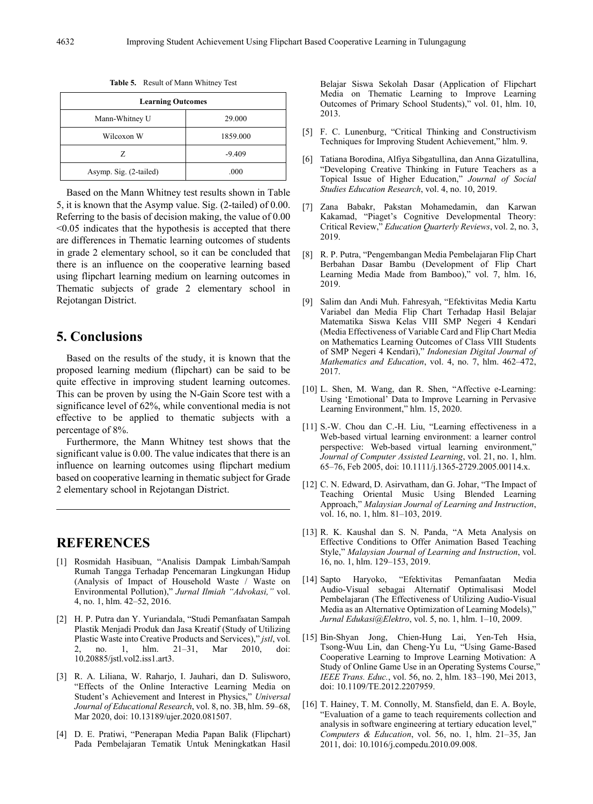**Table 5.** Result of Mann Whitney Test

| <b>Learning Outcomes</b> |          |  |  |
|--------------------------|----------|--|--|
| Mann-Whitney U           | 29,000   |  |  |
| Wilcoxon W               | 1859.000 |  |  |
| Z                        | $-9.409$ |  |  |
| Asymp. Sig. (2-tailed)   | .000     |  |  |

Based on the Mann Whitney test results shown in Table 5, it is known that the Asymp value. Sig. (2-tailed) of 0.00. Referring to the basis of decision making, the value of 0.00 <0.05 indicates that the hypothesis is accepted that there are differences in Thematic learning outcomes of students in grade 2 elementary school, so it can be concluded that there is an influence on the cooperative learning based using flipchart learning medium on learning outcomes in Thematic subjects of grade 2 elementary school in Rejotangan District.

## **5. Conclusions**

Based on the results of the study, it is known that the proposed learning medium (flipchart) can be said to be quite effective in improving student learning outcomes. This can be proven by using the N-Gain Score test with a significance level of 62%, while conventional media is not effective to be applied to thematic subjects with a percentage of 8%.

Furthermore, the Mann Whitney test shows that the significant value is 0.00. The value indicates that there is an influence on learning outcomes using flipchart medium based on cooperative learning in thematic subject for Grade 2 elementary school in Rejotangan District.

## **REFERENCES**

- [1] Rosmidah Hasibuan, "Analisis Dampak Limbah/Sampah Rumah Tangga Terhadap Pencemaran Lingkungan Hidup (Analysis of Impact of Household Waste / Waste on Environmental Pollution)," *Jurnal Ilmiah "Advokasi,"* vol. 4, no. 1, hlm. 42–52, 2016.
- [2] H. P. Putra dan Y. Yuriandala, "Studi Pemanfaatan Sampah Plastik Menjadi Produk dan Jasa Kreatif (Study of Utilizing Plastic Waste into Creative Products and Services)," *jstl*, vol. 2, no. 1, hlm. 21–31, Mar 2010, doi: 10.20885/jstl.vol2.iss1.art3.
- [3] R. A. Liliana, W. Raharjo, I. Jauhari, dan D. Sulisworo, "Effects of the Online Interactive Learning Media on Student's Achievement and Interest in Physics," *Universal Journal of Educational Research*, vol. 8, no. 3B, hlm. 59–68, Mar 2020, doi: 10.13189/ujer.2020.081507.
- [4] D. E. Pratiwi, "Penerapan Media Papan Balik (Flipchart) Pada Pembelajaran Tematik Untuk Meningkatkan Hasil

Belajar Siswa Sekolah Dasar (Application of Flipchart Media on Thematic Learning to Improve Learning Outcomes of Primary School Students)," vol. 01, hlm. 10, 2013.

- [5] F. C. Lunenburg, "Critical Thinking and Constructivism Techniques for Improving Student Achievement," hlm. 9.
- [6] Tatiana Borodina, Alfiya Sibgatullina, dan Anna Gizatullina, "Developing Creative Thinking in Future Teachers as a Topical Issue of Higher Education," *Journal of Social Studies Education Research*, vol. 4, no. 10, 2019.
- [7] Zana Babakr, Pakstan Mohamedamin, dan Karwan Kakamad, "Piaget's Cognitive Developmental Theory: Critical Review," *Education Quarterly Reviews*, vol. 2, no. 3, 2019.
- [8] R. P. Putra, "Pengembangan Media Pembelajaran Flip Chart Berbahan Dasar Bambu (Development of Flip Chart Learning Media Made from Bamboo)," vol. 7, hlm. 16, 2019.
- [9] Salim dan Andi Muh. Fahresyah, "Efektivitas Media Kartu Variabel dan Media Flip Chart Terhadap Hasil Belajar Matematika Siswa Kelas VIII SMP Negeri 4 Kendari (Media Effectiveness of Variable Card and Flip Chart Media on Mathematics Learning Outcomes of Class VIII Students of SMP Negeri 4 Kendari)," *Indonesian Digital Journal of Mathematics and Education*, vol. 4, no. 7, hlm. 462–472, 2017.
- [10] L. Shen, M. Wang, dan R. Shen, "Affective e-Learning: Using 'Emotional' Data to Improve Learning in Pervasive Learning Environment," hlm. 15, 2020.
- [11] S.-W. Chou dan C.-H. Liu, "Learning effectiveness in a Web-based virtual learning environment: a learner control perspective: Web-based virtual learning environment," *Journal of Computer Assisted Learning*, vol. 21, no. 1, hlm. 65–76, Feb 2005, doi: 10.1111/j.1365-2729.2005.00114.x.
- [12] C. N. Edward, D. Asirvatham, dan G. Johar, "The Impact of Teaching Oriental Music Using Blended Learning Approach," *Malaysian Journal of Learning and Instruction*, vol. 16, no. 1, hlm. 81–103, 2019.
- [13] R. K. Kaushal dan S. N. Panda, "A Meta Analysis on Effective Conditions to Offer Animation Based Teaching Style," *Malaysian Journal of Learning and Instruction*, vol. 16, no. 1, hlm. 129–153, 2019.
- [14] Sapto Haryoko, "Efektivitas Pemanfaatan Media Audio-Visual sebagai Alternatif Optimalisasi Model Pembelajaran (The Effectiveness of Utilizing Audio-Visual Media as an Alternative Optimization of Learning Models)," *Jurnal Edukasi@Elektro*, vol. 5, no. 1, hlm. 1–10, 2009.
- [15] Bin-Shyan Jong, Chien-Hung Lai, Yen-Teh Hsia, Tsong-Wuu Lin, dan Cheng-Yu Lu, "Using Game-Based Cooperative Learning to Improve Learning Motivation: A Study of Online Game Use in an Operating Systems Course," *IEEE Trans. Educ.*, vol. 56, no. 2, hlm. 183–190, Mei 2013, doi: 10.1109/TE.2012.2207959.
- [16] T. Hainey, T. M. Connolly, M. Stansfield, dan E. A. Boyle, "Evaluation of a game to teach requirements collection and analysis in software engineering at tertiary education level," *Computers & Education*, vol. 56, no. 1, hlm. 21–35, Jan 2011, doi: 10.1016/j.compedu.2010.09.008.